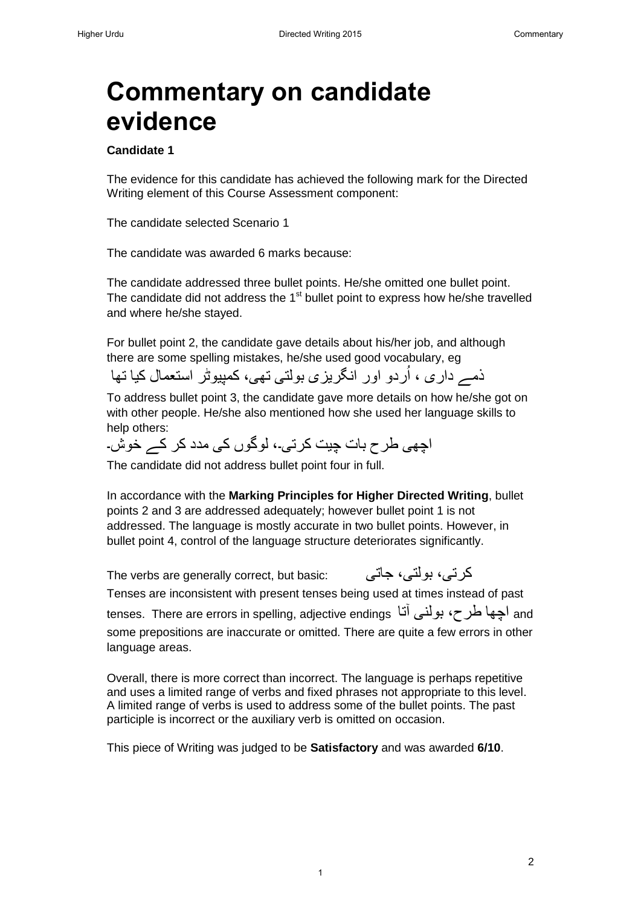# **Commentary on candidate evidence**

### **Candidate 1**

The evidence for this candidate has achieved the following mark for the Directed Writing element of this Course Assessment component:

The candidate selected Scenario 1

The candidate was awarded 6 marks because:

The candidate addressed three bullet points. He/she omitted one bullet point. The candidate did not address the  $1<sup>st</sup>$  bullet point to express how he/she travelled and where he/she stayed.

For bullet point 2, the candidate gave details about his/her job, and although there are some spelling mistakes, he/she used good vocabulary, eg

ذمے داری ، اُردو اور انگریزی بولتی تھی، کمپیوٹر استعمال کیا تھا اُ

To address bullet point 3, the candidate gave more details on how he/she got on with other people. He/she also mentioned how she used her language skills to help others:

اچھی طرح بات چیت کرتی۔، لوگوں کی مدد کر کے خوش۔

The candidate did not address bullet point four in full.

In accordance with the **Marking Principles for Higher Directed Writing**, bullet points 2 and 3 are addressed adequately; however bullet point 1 is not addressed. The language is mostly accurate in two bullet points. However, in bullet point 4, control of the language structure deteriorates significantly.

The verbs are generally correct, but basic: جاتی ،بولتی ،کرتی Tenses are inconsistent with present tenses being used at times instead of past tenses. There are errors in spelling, adjective endings آچھا طرح، بولنی آتا some prepositions are inaccurate or omitted. There are quite a few errors in other language areas.

Overall, there is more correct than incorrect. The language is perhaps repetitive and uses a limited range of verbs and fixed phrases not appropriate to this level. A limited range of verbs is used to address some of the bullet points. The past participle is incorrect or the auxiliary verb is omitted on occasion.

1

This piece of Writing was judged to be **Satisfactory** and was awarded **6/10**.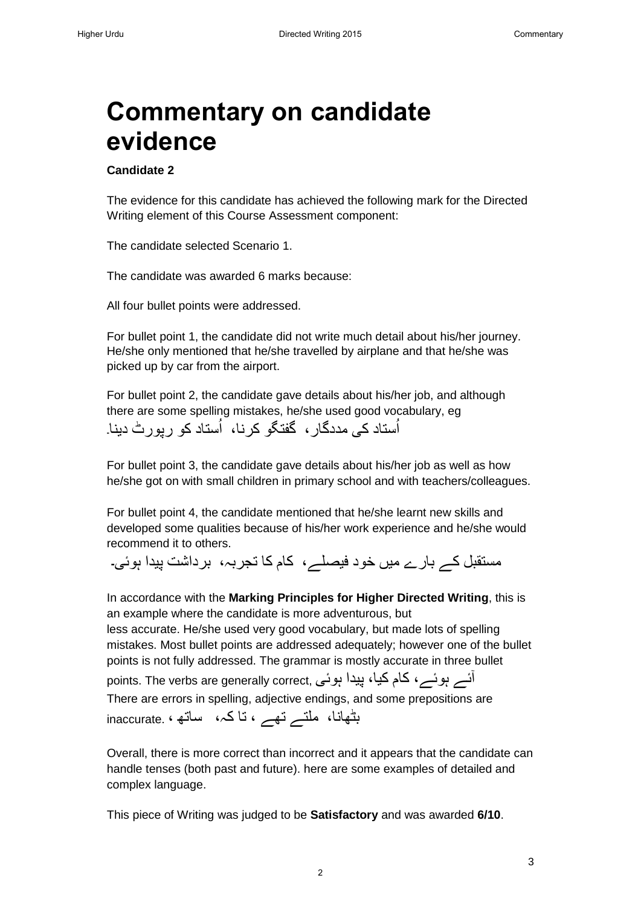# **Commentary on candidate evidence**

### **Candidate 2**

The evidence for this candidate has achieved the following mark for the Directed Writing element of this Course Assessment component:

The candidate selected Scenario 1.

The candidate was awarded 6 marks because:

All four bullet points were addressed.

For bullet point 1, the candidate did not write much detail about his/her journey. He/she only mentioned that he/she travelled by airplane and that he/she was picked up by car from the airport.

For bullet point 2, the candidate gave details about his/her job, and although there are some spelling mistakes, he/she used good vocabulary, eg اُستاد کی مددگار ، گفتگو کرنا، اُستاد کو رپورٹ دینا۔ اُ

For bullet point 3, the candidate gave details about his/her job as well as how he/she got on with small children in primary school and with teachers/colleagues.

For bullet point 4, the candidate mentioned that he/she learnt new skills and developed some qualities because of his/her work experience and he/she would recommend it to others.

مستقبل کے بار ے میں خود فیصلے، کام کا تجربہ، برداشت پیدا ہوئی ۔

In accordance with the **Marking Principles for Higher Directed Writing**, this is an example where the candidate is more adventurous, but less accurate. He/she used very good vocabulary, but made lots of spelling

mistakes. Most bullet points are addressed adequately; however one of the bullet points is not fully addressed. The grammar is mostly accurate in three bullet آئے ہوئے، کام کیا، پیدا ہوئی ,points. The verbs are generally correct

There are errors in spelling, adjective endings, and some prepositions are بٹھانا، ملتے تھے ، تا کہ، ساتھ ، .inaccurate

Overall, there is more correct than incorrect and it appears that the candidate can handle tenses (both past and future). here are some examples of detailed and complex language.

This piece of Writing was judged to be **Satisfactory** and was awarded **6/10**.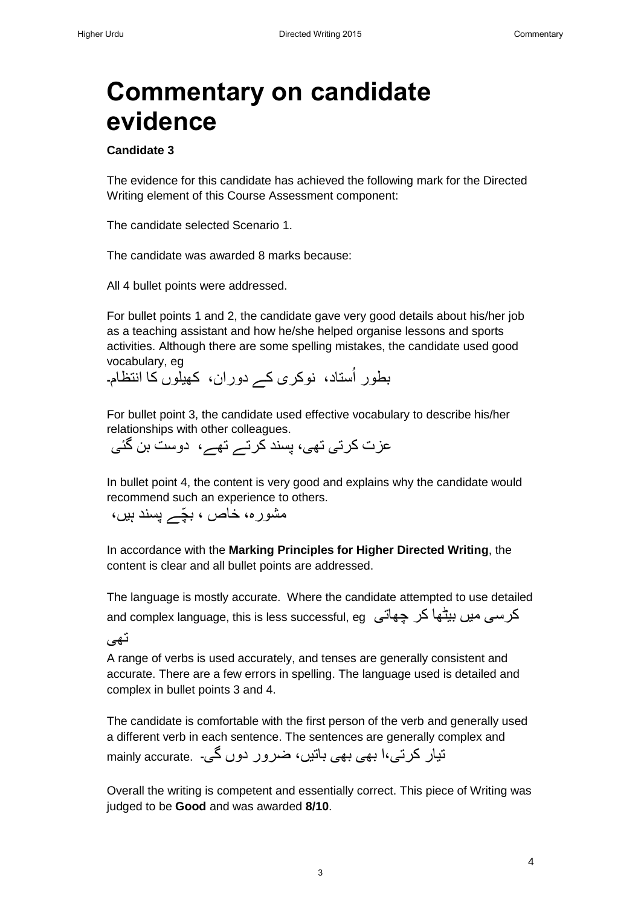4

# **Commentary on candidate evidence**

### **Candidate 3**

The evidence for this candidate has achieved the following mark for the Directed Writing element of this Course Assessment component:

The candidate selected Scenario 1.

The candidate was awarded 8 marks because:

All 4 bullet points were addressed.

For bullet points 1 and 2, the candidate gave very good details about his/her job as a teaching assistant and how he/she helped organise lessons and sports activities. Although there are some spelling mistakes, the candidate used good vocabulary, eg

بطور اُستاد، نوکری کے دوران، کھیلّوں کا انتظام۔

For bullet point 3, the candidate used effective vocabulary to describe his/her relationships with other colleagues.

عزت کرتی تھی، پسند کرتے تھے، دوست بن گئی

In bullet point 4, the content is very good and explains why the candidate would recommend such an experience to others.

مشورہ، خاص ، بچّے پسند ہیں،

In accordance with the **Marking Principles for Higher Directed Writing**, the content is clear and all bullet points are addressed.

The language is mostly accurate. Where the candidate attempted to use detailed and complex language, this is less successful, eg چھاتی کر بیٹھا میں کرسی

تھی

A range of verbs is used accurately, and tenses are generally consistent and accurate. There are a few errors in spelling. The language used is detailed and complex in bullet points 3 and 4.

The candidate is comfortable with the first person of the verb and generally used a different verb in each sentence. The sentences are generally complex and تیار کرتے،ا بھی بھی باتیں، ضرور دوں گی۔ . .mainly accurate

Overall the writing is competent and essentially correct. This piece of Writing was judged to be **Good** and was awarded **8/10**.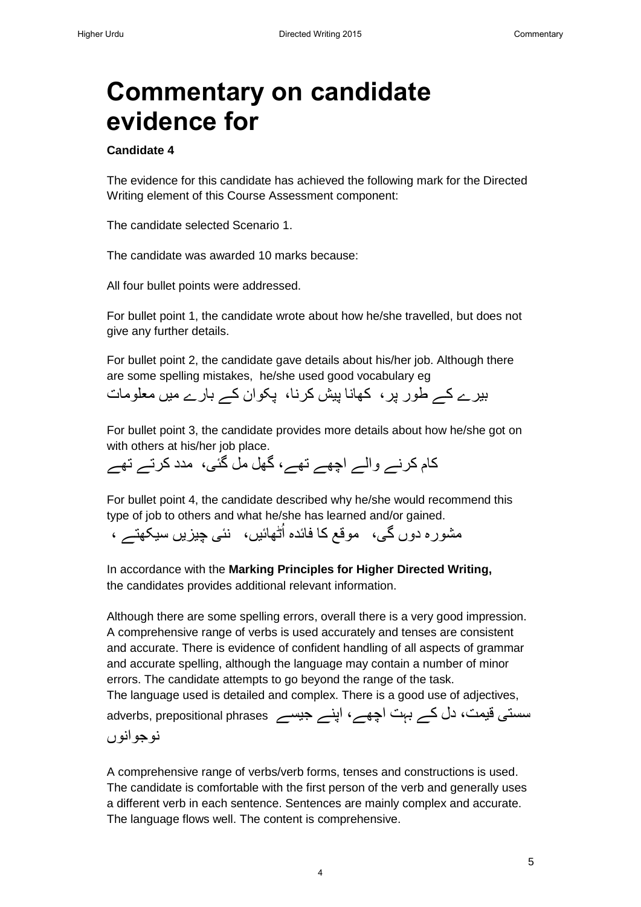# **Commentary on candidate evidence for**

### **Candidate 4**

The evidence for this candidate has achieved the following mark for the Directed Writing element of this Course Assessment component:

The candidate selected Scenario 1.

The candidate was awarded 10 marks because:

All four bullet points were addressed.

For bullet point 1, the candidate wrote about how he/she travelled, but does not give any further details.

For bullet point 2, the candidate gave details about his/her job. Although there are some spelling mistakes, he/she used good vocabulary eg

بیرے کے طور پر، کھانا پیش کرنا، پکوان کے بارے میں معلومات

For bullet point 3, the candidate provides more details about how he/she got on with others at his/her job place.

کام کرنے والے اچھے تھے، گھل مل گئی، مدد کرتے تھے

For bullet point 4, the candidate described why he/she would recommend this type of job to others and what he/she has learned and/or gained.

مشور ہ دوں گی، موقع کا فائدہ اُٹھائیں، نئی چیزیں سیکھتے ،

In accordance with the **Marking Principles for Higher Directed Writing,** the candidates provides additional relevant information.

Although there are some spelling errors, overall there is a very good impression. A comprehensive range of verbs is used accurately and tenses are consistent and accurate. There is evidence of confident handling of all aspects of grammar and accurate spelling, although the language may contain a number of minor errors. The candidate attempts to go beyond the range of the task. The language used is detailed and complex. There is a good use of adjectives, سستی قیمت، دل کے بہت اچھے، اپنے جیسے adverbs, prepositional phrases نوجوانوں

A comprehensive range of verbs/verb forms, tenses and constructions is used. The candidate is comfortable with the first person of the verb and generally uses a different verb in each sentence. Sentences are mainly complex and accurate. The language flows well. The content is comprehensive.

4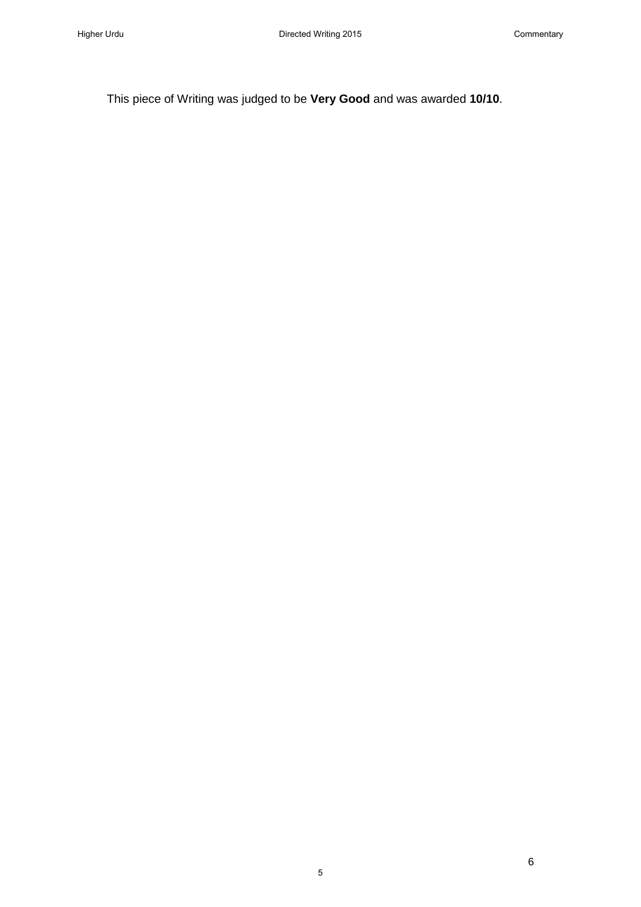5

This piece of Writing was judged to be **Very Good** and was awarded **10/10**.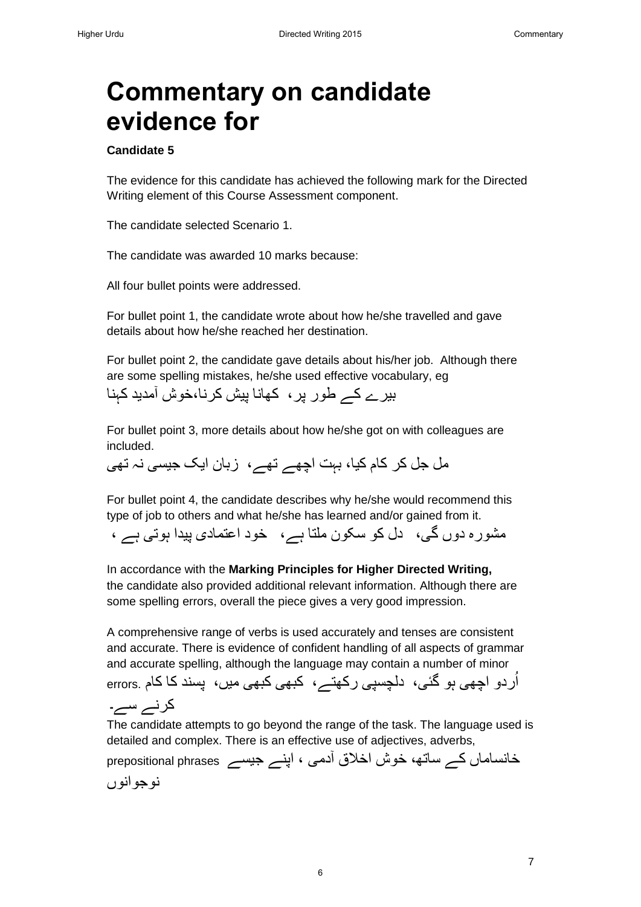# **Commentary on candidate evidence for**

### **Candidate 5**

The evidence for this candidate has achieved the following mark for the Directed Writing element of this Course Assessment component.

The candidate selected Scenario 1.

The candidate was awarded 10 marks because:

All four bullet points were addressed.

For bullet point 1, the candidate wrote about how he/she travelled and gave details about how he/she reached her destination.

For bullet point 2, the candidate gave details about his/her job. Although there are some spelling mistakes, he/she used effective vocabulary, eg

بیرے کے طور پر، کھانا پیش کرنا،خوش آمدید کہنا

For bullet point 3, more details about how he/she got on with colleagues are included.

مل جل کر کام کیا، بہت اچھے تھے، زبان ایک جیسی نہ تھی

For bullet point 4, the candidate describes why he/she would recommend this type of job to others and what he/she has learned and/or gained from it.

مشورہ دوں گی، دل کو سکون ملتا ہے، خود اعتمادی پیدا ہوتی ہے ،

In accordance with the **Marking Principles for Higher Directed Writing,** the candidate also provided additional relevant information. Although there are some spelling errors, overall the piece gives a very good impression.

A comprehensive range of verbs is used accurately and tenses are consistent and accurate. There is evidence of confident handling of all aspects of grammar and accurate spelling, although the language may contain a number of minor اُردو اچھی ہو گئی، دلچسپی رکھتے، کبھی کبھی میں، پسند کا کام .errors کرنے سے۔

The candidate attempts to go beyond the range of the task. The language used is detailed and complex. There is an effective use of adjectives, adverbs,

خانساماں کے ساتھ، خوش اخالق آدمی ، اپنے جیسے phrases prepositional نوجوانوں